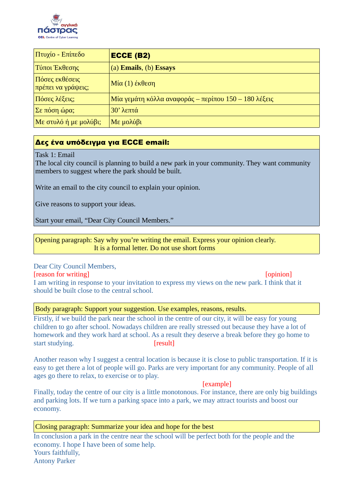

| Πτυχίο - Επίπεδο                     | <b>ECCE (B2)</b>                                     |
|--------------------------------------|------------------------------------------------------|
| Τύποι Έκθεσης                        | (a) Emails, (b) Essays                               |
| Πόσες εκθέσεις<br>πρέπει να γράψεις; | $M$ ία (1) έκθεση                                    |
| Πόσες λέξεις;                        | Μία γεμάτη κόλλα αναφοράς – περίπου 150 – 180 λέξεις |
| $\Sigma$ ε πόση ώρα;                 | $30'$ λεπτά                                          |
| $\vert$ Με στυλό ή με μολύβι;        | $Mε$ μολύβι                                          |

# Δες ένα υπόδειγμα για ECCE email:

Task 1: Email

The local city council is planning to build a new park in your community. They want community members to suggest where the park should be built.

Write an email to the city council to explain your opinion.

Give reasons to support your ideas.

Start your email, "Dear City Council Members."

Opening paragraph: Say why you're writing the email. Express your opinion clearly. It is a formal letter. Do not use short forms

Dear City Council Members,

[reason for writing] [opinion] [opinion] I am writing in response to your invitation to express my views on the new park. I think that it should be built close to the central school.

Body paragraph: Support your suggestion. Use examples, reasons, results.

Firstly, if we build the park near the school in the centre of our city, it will be easy for young children to go after school. Nowadays children are really stressed out because they have a lot of homework and they work hard at school. As a result they deserve a break before they go home to start studying. The start studying.

Another reason why I suggest a central location is because it is close to public transportation. If it is easy to get there a lot of people will go. Parks are very important for any community. People of all ages go there to relax, to exercise or to play.

### [example]

Finally, today the centre of our city is a little monotonous. For instance, there are only big buildings and parking lots. If we turn a parking space into a park, we may attract tourists and boost our economy.

## Closing paragraph: Summarize your idea and hope for the best

In conclusion a park in the centre near the school will be perfect both for the people and the economy. I hope I have been of some help. Yours faithfully, Antony Parker